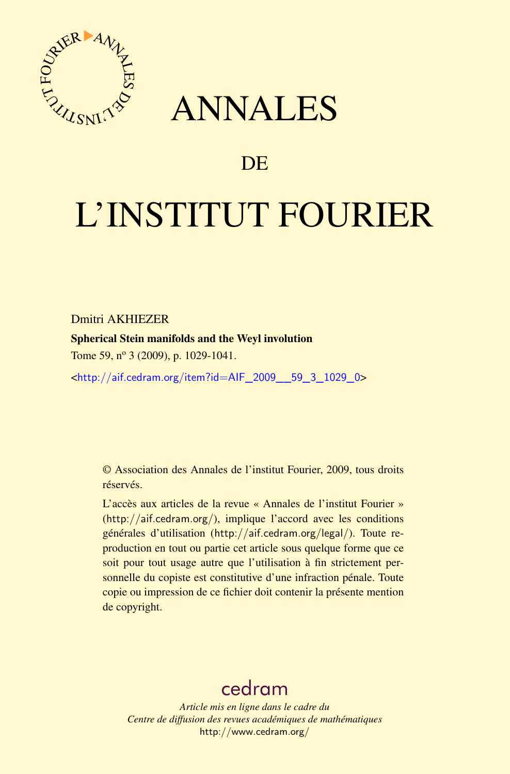

## ANNALES

### **DE**

# L'INSTITUT FOURIER

Dmitri AKHIEZER

Spherical Stein manifolds and the Weyl involution

Tome 59, nº 3 (2009), p. 1029-1041.

<[http://aif.cedram.org/item?id=AIF\\_2009\\_\\_59\\_3\\_1029\\_0](http://aif.cedram.org/item?id=AIF_2009__59_3_1029_0)>

© Association des Annales de l'institut Fourier, 2009, tous droits réservés.

L'accès aux articles de la revue « Annales de l'institut Fourier » (<http://aif.cedram.org/>), implique l'accord avec les conditions générales d'utilisation (<http://aif.cedram.org/legal/>). Toute reproduction en tout ou partie cet article sous quelque forme que ce soit pour tout usage autre que l'utilisation à fin strictement personnelle du copiste est constitutive d'une infraction pénale. Toute copie ou impression de ce fichier doit contenir la présente mention de copyright.

## [cedram](http://www.cedram.org/)

*Article mis en ligne dans le cadre du Centre de diffusion des revues académiques de mathématiques* <http://www.cedram.org/>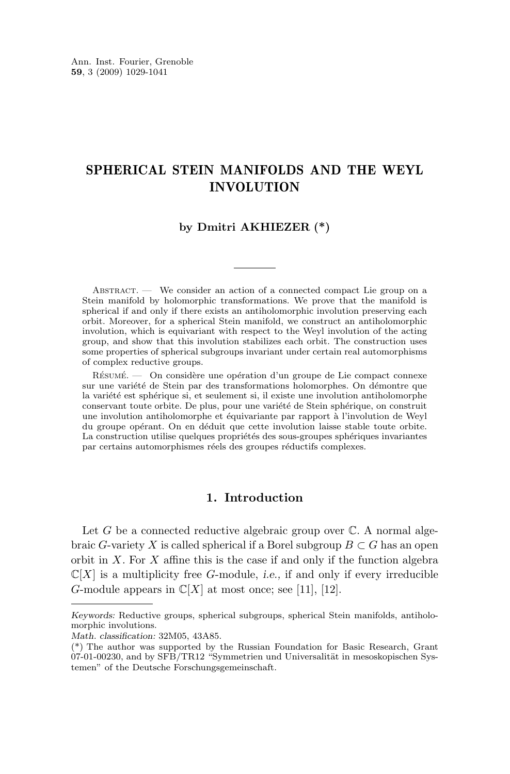#### SPHERICAL STEIN MANIFOLDS AND THE WEYL INVOLUTION

#### **by Dmitri AKHIEZER (\*)**

Abstract. — We consider an action of a connected compact Lie group on a Stein manifold by holomorphic transformations. We prove that the manifold is spherical if and only if there exists an antiholomorphic involution preserving each orbit. Moreover, for a spherical Stein manifold, we construct an antiholomorphic involution, which is equivariant with respect to the Weyl involution of the acting group, and show that this involution stabilizes each orbit. The construction uses some properties of spherical subgroups invariant under certain real automorphisms of complex reductive groups.

Résumé. — On considère une opération d'un groupe de Lie compact connexe sur une variété de Stein par des transformations holomorphes. On démontre que la variété est sphérique si, et seulement si, il existe une involution antiholomorphe conservant toute orbite. De plus, pour une variété de Stein sphérique, on construit une involution antiholomorphe et équivariante par rapport à l'involution de Weyl du groupe opérant. On en déduit que cette involution laisse stable toute orbite. La construction utilise quelques propriétés des sous-groupes sphériques invariantes par certains automorphismes réels des groupes réductifs complexes.

#### **1. Introduction**

Let G be a connected reductive algebraic group over  $\mathbb{C}$ . A normal algebraic G-variety X is called spherical if a Borel subgroup  $B \subset G$  has an open orbit in  $X$ . For  $X$  affine this is the case if and only if the function algebra  $\mathbb{C}[X]$  is a multiplicity free *G*-module, *i.e.*, if and only if every irreducible G-module appears in  $\mathbb{C}[X]$  at most once; see [\[11\]](#page-13-0), [\[12\]](#page-13-0).

*Keywords:* Reductive groups, spherical subgroups, spherical Stein manifolds, antiholomorphic involutions.

*Math. classification:* 32M05, 43A85.

<sup>(\*)</sup> The author was supported by the Russian Foundation for Basic Research, Grant 07-01-00230, and by SFB/TR12 "Symmetrien und Universalität in mesoskopischen Systemen" of the Deutsche Forschungsgemeinschaft.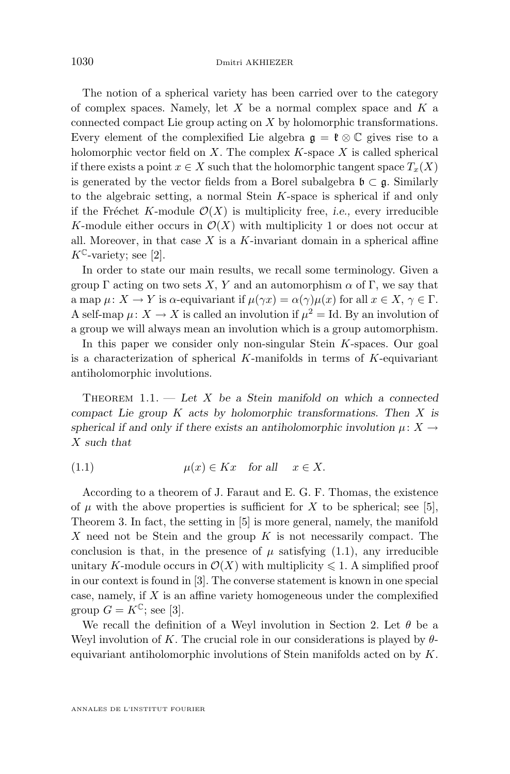<span id="page-2-0"></span>The notion of a spherical variety has been carried over to the category of complex spaces. Namely, let  $X$  be a normal complex space and  $K$  a connected compact Lie group acting on X by holomorphic transformations. Every element of the complexified Lie algebra  $\mathfrak{g} = \mathfrak{k} \otimes \mathbb{C}$  gives rise to a holomorphic vector field on  $X$ . The complex  $K$ -space  $X$  is called spherical if there exists a point  $x \in X$  such that the holomorphic tangent space  $T_x(X)$ is generated by the vector fields from a Borel subalgebra  $\mathfrak{b} \subset \mathfrak{g}$ . Similarly to the algebraic setting, a normal Stein K-space is spherical if and only if the Fréchet K-module  $\mathcal{O}(X)$  is multiplicity free, *i.e.*, every irreducible K-module either occurs in  $\mathcal{O}(X)$  with multiplicity 1 or does not occur at all. Moreover, in that case  $X$  is a  $K$ -invariant domain in a spherical affine  $K^{\mathbb{C}}$ -variety; see [\[2\]](#page-13-0).

In order to state our main results, we recall some terminology. Given a group  $\Gamma$  acting on two sets X, Y and an automorphism  $\alpha$  of  $\Gamma$ , we say that a map  $\mu: X \to Y$  is  $\alpha$ -equivariant if  $\mu(\gamma x) = \alpha(\gamma)\mu(x)$  for all  $x \in X, \gamma \in \Gamma$ . A self-map  $\mu: X \to X$  is called an involution if  $\mu^2 = Id$ . By an involution of a group we will always mean an involution which is a group automorphism.

In this paper we consider only non-singular Stein K-spaces. Our goal is a characterization of spherical K-manifolds in terms of  $K$ -equivariant antiholomorphic involutions.

Theorem 1.1. — *Let* X *be a Stein manifold on which a connected compact Lie group* K *acts by holomorphic transformations. Then* X *is spherical if and only if there exists an antiholomorphic involution*  $\mu: X \rightarrow$ X *such that*

(1.1) 
$$
\mu(x) \in Kx \quad \text{for all} \quad x \in X.
$$

According to a theorem of J. Faraut and E. G. F. Thomas, the existence of  $\mu$  with the above properties is sufficient for X to be spherical; see [\[5\]](#page-13-0), Theorem 3. In fact, the setting in [\[5\]](#page-13-0) is more general, namely, the manifold X need not be Stein and the group  $K$  is not necessarily compact. The conclusion is that, in the presence of  $\mu$  satisfying (1.1), any irreducible unitary K-module occurs in  $\mathcal{O}(X)$  with multiplicity  $\leq 1$ . A simplified proof in our context is found in [\[3\]](#page-13-0). The converse statement is known in one special case, namely, if  $X$  is an affine variety homogeneous under the complexified group  $G = K^{\mathbb{C}}$ ; see [\[3\]](#page-13-0).

We recall the definition of a Weyl involution in Section [2.](#page-4-0) Let  $\theta$  be a Weyl involution of K. The crucial role in our considerations is played by  $\theta$ equivariant antiholomorphic involutions of Stein manifolds acted on by K.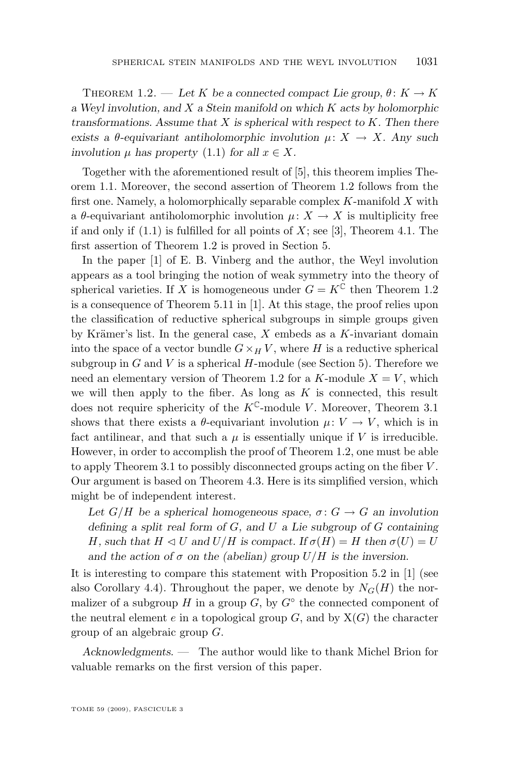THEOREM 1.2. — Let K be a connected compact Lie group,  $\theta: K \to K$ *a Weyl involution, and* X *a Stein manifold on which* K *acts by holomorphic transformations. Assume that* X *is spherical with respect to* K*. Then there exists a*  $\theta$ -equivariant antiholomorphic involution  $\mu: X \to X$ . Any such *involution*  $\mu$  *has property* [\(1.1\)](#page-2-0) *for all*  $x \in X$ *.* 

Together with the aforementioned result of [\[5\]](#page-13-0), this theorem implies Theorem [1.1.](#page-2-0) Moreover, the second assertion of Theorem [1.2](#page-2-0) follows from the first one. Namely, a holomorphically separable complex  $K$ -manifold  $X$  with a  $\theta$ -equivariant antiholomorphic involution  $\mu: X \to X$  is multiplicity free if and only if  $(1.1)$  is fulfilled for all points of X; see [\[3\]](#page-13-0), Theorem 4.1. The first assertion of Theorem [1.2](#page-2-0) is proved in Section [5.](#page-11-0)

In the paper [\[1\]](#page-13-0) of E. B. Vinberg and the author, the Weyl involution appears as a tool bringing the notion of weak symmetry into the theory of spherical varieties. If X is homogeneous under  $G = K^{\mathbb{C}}$  then Theorem [1.2](#page-2-0) is a consequence of Theorem 5.11 in [\[1\]](#page-13-0). At this stage, the proof relies upon the classification of reductive spherical subgroups in simple groups given by Krämer's list. In the general case,  $X$  embeds as a  $K$ -invariant domain into the space of a vector bundle  $G \times_H V$ , where H is a reductive spherical subgroup in  $G$  and  $V$  is a spherical  $H$ -module (see Section [5\)](#page-11-0). Therefore we need an elementary version of Theorem [1.2](#page-2-0) for a K-module  $X = V$ , which we will then apply to the fiber. As long as  $K$  is connected, this result does not require sphericity of the  $K^{\mathbb{C}}$ -module V. Moreover, Theorem [3.1](#page-5-0) shows that there exists a  $\theta$ -equivariant involution  $\mu: V \to V$ , which is in fact antilinear, and that such a  $\mu$  is essentially unique if V is irreducible. However, in order to accomplish the proof of Theorem [1.2,](#page-2-0) one must be able to apply Theorem [3.1](#page-5-0) to possibly disconnected groups acting on the fiber V . Our argument is based on Theorem [4.3.](#page-9-0) Here is its simplified version, which might be of independent interest.

Let  $G/H$  be a spherical homogeneous space,  $\sigma: G \to G$  an involution *defining a split real form of* G*, and* U *a Lie subgroup of* G *containing* H, such that  $H \triangleleft U$  and  $U/H$  is compact. If  $\sigma(H) = H$  then  $\sigma(U) = U$ *and the action of*  $\sigma$  *on the (abelian) group*  $U/H$  *is the inversion.* 

It is interesting to compare this statement with Proposition 5.2 in [\[1\]](#page-13-0) (see also Corollary [4.4\)](#page-10-0). Throughout the paper, we denote by  $N_G(H)$  the normalizer of a subgroup H in a group  $G$ , by  $G^{\circ}$  the connected component of the neutral element e in a topological group  $G$ , and by  $X(G)$  the character group of an algebraic group G.

*Acknowledgments. —* The author would like to thank Michel Brion for valuable remarks on the first version of this paper.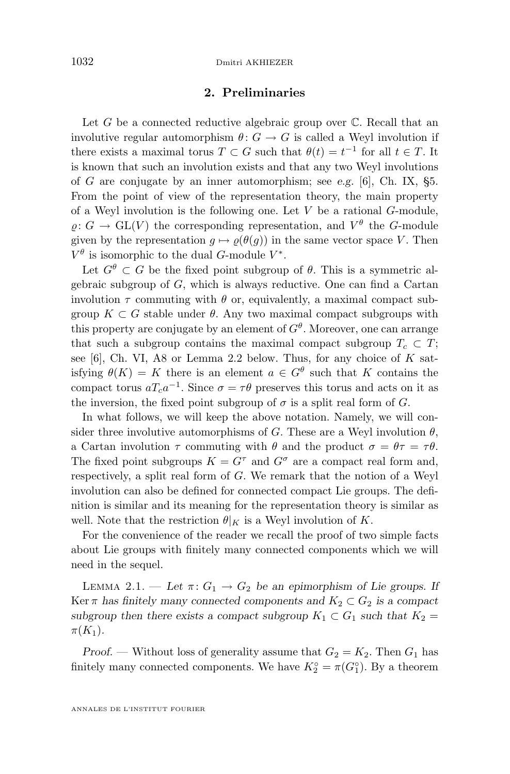#### **2. Preliminaries**

<span id="page-4-0"></span>Let  $G$  be a connected reductive algebraic group over  $\mathbb C$ . Recall that an involutive regular automorphism  $\theta: G \to G$  is called a Weyl involution if there exists a maximal torus  $T \subset G$  such that  $\theta(t) = t^{-1}$  for all  $t \in T$ . It is known that such an involution exists and that any two Weyl involutions of G are conjugate by an inner automorphism; see *e.g.* [\[6\]](#page-13-0), Ch. IX, §5. From the point of view of the representation theory, the main property of a Weyl involution is the following one. Let  $V$  be a rational  $G$ -module,  $\varrho: G \to \mathrm{GL}(V)$  the corresponding representation, and  $V^{\theta}$  the G-module given by the representation  $g \mapsto \rho(\theta(g))$  in the same vector space V. Then  $V^{\theta}$  is isomorphic to the dual G-module  $V^*$ .

Let  $G^{\theta} \subset G$  be the fixed point subgroup of  $\theta$ . This is a symmetric algebraic subgroup of G, which is always reductive. One can find a Cartan involution  $\tau$  commuting with  $\theta$  or, equivalently, a maximal compact subgroup  $K \subset G$  stable under  $\theta$ . Any two maximal compact subgroups with this property are conjugate by an element of  $G^{\theta}$ . Moreover, one can arrange that such a subgroup contains the maximal compact subgroup  $T_c \subset T$ ; see [\[6\]](#page-13-0), Ch. VI, A8 or Lemma [2.2](#page-5-0) below. Thus, for any choice of  $K$  satisfying  $\theta(K) = K$  there is an element  $a \in G^{\theta}$  such that K contains the compact torus  $aT_{c}a^{-1}$ . Since  $\sigma = \tau \theta$  preserves this torus and acts on it as the inversion, the fixed point subgroup of  $\sigma$  is a split real form of G.

In what follows, we will keep the above notation. Namely, we will consider three involutive automorphisms of G. These are a Weyl involution  $\theta$ , a Cartan involution  $\tau$  commuting with  $\theta$  and the product  $\sigma = \theta \tau = \tau \theta$ . The fixed point subgroups  $K = G^{\tau}$  and  $G^{\sigma}$  are a compact real form and, respectively, a split real form of G. We remark that the notion of a Weyl involution can also be defined for connected compact Lie groups. The definition is similar and its meaning for the representation theory is similar as well. Note that the restriction  $\theta|_K$  is a Weyl involution of K.

For the convenience of the reader we recall the proof of two simple facts about Lie groups with finitely many connected components which we will need in the sequel.

LEMMA 2.1. — Let  $\pi: G_1 \to G_2$  be an epimorphism of Lie groups. If Ker  $\pi$  has finitely many connected components and  $K_2 \subset G_2$  is a compact *subgroup then there exists a compact subgroup*  $K_1 \subset G_1$  *such that*  $K_2 =$  $\pi(K_1)$ .

*Proof.* — Without loss of generality assume that  $G_2 = K_2$ . Then  $G_1$  has finitely many connected components. We have  $K_2^{\circ} = \pi(G_1^{\circ})$ . By a theorem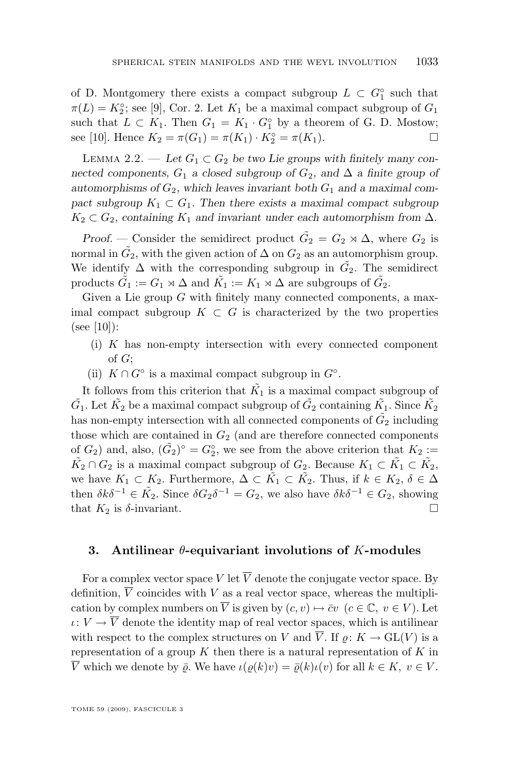<span id="page-5-0"></span>of D. Montgomery there exists a compact subgroup  $L \subset G_1^{\circ}$  such that  $\pi(L) = K_2^{\circ}$ ; see [\[9\]](#page-13-0), Cor. 2. Let  $K_1$  be a maximal compact subgroup of  $G_1$ such that  $L \subset K_1$ . Then  $G_1 = K_1 \cdot G_1^{\circ}$  by a theorem of G. D. Mostow; see [\[10\]](#page-13-0). Hence  $K_2 = \pi(G_1) = \pi(K_1) \cdot K_2^\circ = \pi(K_1)$ .

LEMMA 2.2. — Let  $G_1 \subset G_2$  be two Lie groups with finitely many con*nected components,*  $G_1$  *a closed subgroup of*  $G_2$ *, and*  $\Delta$  *a finite group of* automorphisms of  $G_2$ , which leaves invariant both  $G_1$  and a maximal com*pact subgroup*  $K_1 \subset G_1$ *. Then there exists a maximal compact subgroup*  $K_2 \subset G_2$ , containing  $K_1$  and invariant under each automorphism from  $\Delta$ .

*Proof.* — Consider the semidirect product  $\tilde{G}_2 = G_2 \rtimes \Delta$ , where  $G_2$  is normal in  $\tilde{G_2}$ , with the given action of  $\Delta$  on  $G_2$  as an automorphism group. We identify  $\Delta$  with the corresponding subgroup in  $\tilde{G}_2$ . The semidirect products  $\tilde{G}_1 := G_1 \rtimes \Delta$  and  $\tilde{K_1} := K_1 \rtimes \Delta$  are subgroups of  $\tilde{G}_2$ .

Given a Lie group G with finitely many connected components, a maximal compact subgroup  $K \subset G$  is characterized by the two properties  $(see [10]):$  $(see [10]):$  $(see [10]):$ 

- (i) K has non-empty intersection with every connected component of G;
- (ii)  $K \cap G^{\circ}$  is a maximal compact subgroup in  $G^{\circ}$ .

It follows from this criterion that  $\tilde{K_1}$  is a maximal compact subgroup of  $\tilde{G_1}$ . Let  $\tilde{K_2}$  be a maximal compact subgroup of  $\tilde{G_2}$  containing  $\tilde{K_1}$ . Since  $\tilde{K_2}$ has non-empty intersection with all connected components of  $\tilde{G_2}$  including those which are contained in  $G_2$  (and are therefore connected components of  $G_2$ ) and, also,  $(\tilde{G}_2)^\circ = G_2^\circ$ , we see from the above criterion that  $K_2 :=$  $\tilde{K_2} \cap G_2$  is a maximal compact subgroup of  $G_2$ . Because  $K_1 \subset \tilde{K_1} \subset \tilde{K_2}$ , we have  $K_1 \subset K_2$ . Furthermore,  $\Delta \subset \tilde{K_1} \subset \tilde{K_2}$ . Thus, if  $k \in K_2$ ,  $\delta \in \Delta$ then  $\delta k \delta^{-1} \in \tilde{K_2}$ . Since  $\delta G_2 \delta^{-1} = G_2$ , we also have  $\delta k \delta^{-1} \in G_2$ , showing that  $K_2$  is  $\delta$ -invariant.

#### **3. Antilinear** θ**-equivariant involutions of** K**-modules**

For a complex vector space V let  $\overline{V}$  denote the conjugate vector space. By definition,  $\overline{V}$  coincides with V as a real vector space, whereas the multiplication by complex numbers on  $\overline{V}$  is given by  $(c, v) \mapsto \overline{c}v \ (c \in \mathbb{C}, v \in V)$ . Let  $\iota: V \to \overline{V}$  denote the identity map of real vector spaces, which is antilinear with respect to the complex structures on V and  $\overline{V}$ . If  $\rho: K \to GL(V)$  is a representation of a group  $K$  then there is a natural representation of  $K$  in  $\overline{V}$  which we denote by  $\overline{\varrho}$ . We have  $\iota(\varrho(k)v) = \overline{\varrho}(k)\iota(v)$  for all  $k \in K$ ,  $v \in V$ .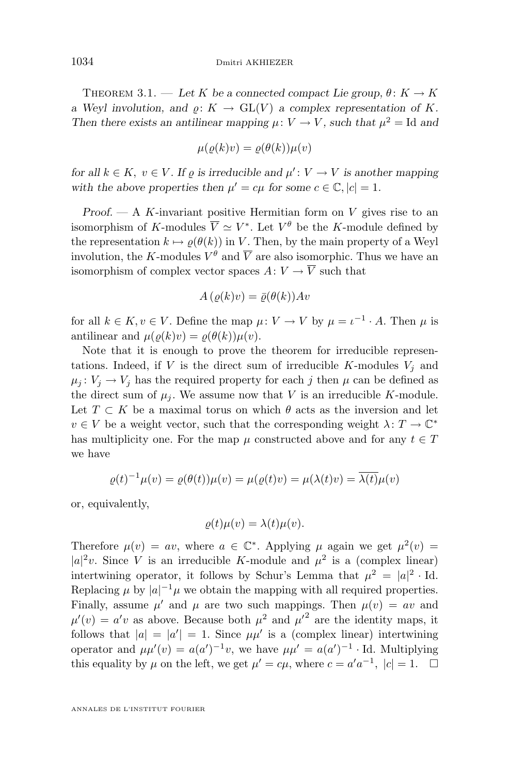THEOREM 3.1. — Let K be a connected compact Lie group,  $\theta: K \to K$ *a* Weyl involution, and  $\rho: K \to GL(V)$  *a complex representation of* K. *Then there exists an antilinear mapping*  $\mu: V \to V$ *, such that*  $\mu^2 = \text{Id}$  and

$$
\mu(\varrho(k)v) = \varrho(\theta(k))\mu(v)
$$

*for all*  $k \in K$ ,  $v \in V$ *. If*  $\varrho$  *is irreducible and*  $\mu' : V \to V$  *is another mapping* with the above properties then  $\mu' = c\mu$  for some  $c \in \mathbb{C}, |c| = 1$ .

*Proof. —* A K-invariant positive Hermitian form on V gives rise to an isomorphism of K-modules  $\overline{V} \simeq V^*$ . Let  $V^{\theta}$  be the K-module defined by the representation  $k \mapsto \rho(\theta(k))$  in V. Then, by the main property of a Weyl involution, the K-modules  $V^{\theta}$  and  $\overline{V}$  are also isomorphic. Thus we have an isomorphism of complex vector spaces  $A: V \to \overline{V}$  such that

$$
A\left(\varrho(k)v\right) = \bar{\varrho}(\theta(k))Av
$$

for all  $k \in K, v \in V$ . Define the map  $\mu: V \to V$  by  $\mu = \iota^{-1} \cdot A$ . Then  $\mu$  is antilinear and  $\mu(\rho(k)v) = \rho(\theta(k))\mu(v)$ .

Note that it is enough to prove the theorem for irreducible representations. Indeed, if V is the direct sum of irreducible K-modules  $V_i$  and  $\mu_i: V_i \to V_i$  has the required property for each j then  $\mu$  can be defined as the direct sum of  $\mu_i$ . We assume now that V is an irreducible K-module. Let  $T \subset K$  be a maximal torus on which  $\theta$  acts as the inversion and let  $v \in V$  be a weight vector, such that the corresponding weight  $\lambda: T \to \mathbb{C}^*$ has multiplicity one. For the map  $\mu$  constructed above and for any  $t \in T$ we have

$$
\varrho(t)^{-1}\mu(v) = \varrho(\theta(t))\mu(v) = \mu(\varrho(t)v) = \mu(\lambda(t)v) = \overline{\lambda(t)}\mu(v)
$$

or, equivalently,

$$
\varrho(t)\mu(v) = \lambda(t)\mu(v).
$$

Therefore  $\mu(v) = av$ , where  $a \in \mathbb{C}^*$ . Applying  $\mu$  again we get  $\mu^2(v) =$  $|a|^2v$ . Since V is an irreducible K-module and  $\mu^2$  is a (complex linear) intertwining operator, it follows by Schur's Lemma that  $\mu^2 = |a|^2 \cdot \text{Id}$ . Replacing  $\mu$  by  $|a|^{-1}\mu$  we obtain the mapping with all required properties. Finally, assume  $\mu'$  and  $\mu$  are two such mappings. Then  $\mu(v) = av$  and  $\mu'(v) = a'v$  as above. Because both  $\mu^2$  and  $\mu'^2$  are the identity maps, it follows that  $|a| = |a'| = 1$ . Since  $\mu \mu'$  is a (complex linear) intertwining operator and  $\mu\mu'(v) = a(a')^{-1}v$ , we have  $\mu\mu' = a(a')^{-1}$  Id. Multiplying this equality by  $\mu$  on the left, we get  $\mu' = c\mu$ , where  $c = a'a^{-1}$ ,  $|c| = 1$ .  $\Box$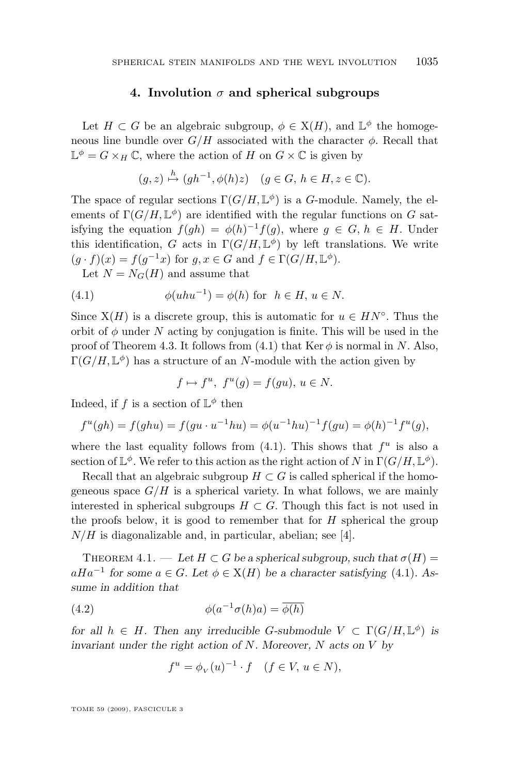#### **4. Involution** σ **and spherical subgroups**

<span id="page-7-0"></span>Let  $H \subset G$  be an algebraic subgroup,  $\phi \in X(H)$ , and  $\mathbb{L}^{\phi}$  the homogeneous line bundle over  $G/H$  associated with the character  $\phi$ . Recall that  $\mathbb{L}^{\phi} = G \times_H \mathbb{C}$ , where the action of H on  $G \times \mathbb{C}$  is given by

$$
(g, z) \stackrel{h}{\mapsto} (gh^{-1}, \phi(h)z) \quad (g \in G, h \in H, z \in \mathbb{C}).
$$

The space of regular sections  $\Gamma(G/H, \mathbb{L}^{\phi})$  is a G-module. Namely, the elements of  $\Gamma(G/H, \mathbb{L}^{\phi})$  are identified with the regular functions on G satisfying the equation  $f(gh) = \phi(h)^{-1}f(g)$ , where  $g \in G$ ,  $h \in H$ . Under this identification, G acts in  $\Gamma(G/H, \mathbb{L}^{\phi})$  by left translations. We write  $(g \cdot f)(x) = f(g^{-1}x)$  for  $g, x \in G$  and  $f \in \Gamma(G/H, \mathbb{L}^{\phi})$ .

Let  $N = N_G(H)$  and assume that

(4.1) 
$$
\phi(uhu^{-1}) = \phi(h) \text{ for } h \in H, u \in N.
$$

Since  $X(H)$  is a discrete group, this is automatic for  $u \in HN<sup>°</sup>$ . Thus the orbit of  $\phi$  under N acting by conjugation is finite. This will be used in the proof of Theorem [4.3.](#page-9-0) It follows from (4.1) that Ker  $\phi$  is normal in N. Also,  $\Gamma(G/H, \mathbb{L}^{\phi})$  has a structure of an N-module with the action given by

$$
f \mapsto f^u, \ f^u(g) = f(gu), \ u \in N.
$$

Indeed, if f is a section of  $\mathbb{L}^{\phi}$  then

$$
f^{u}(gh) = f(ghu) = f(gu \cdot u^{-1}hu) = \phi(u^{-1}hu)^{-1}f(gu) = \phi(h)^{-1}f^{u}(g),
$$

where the last equality follows from  $(4.1)$ . This shows that  $f^u$  is also a section of  $\mathbb{L}^{\phi}$ . We refer to this action as the right action of N in  $\Gamma(G/H, \mathbb{L}^{\phi})$ .

Recall that an algebraic subgroup  $H \subset G$  is called spherical if the homogeneous space  $G/H$  is a spherical variety. In what follows, we are mainly interested in spherical subgroups  $H \subset G$ . Though this fact is not used in the proofs below, it is good to remember that for  $H$  spherical the group  $N/H$  is diagonalizable and, in particular, abelian; see [\[4\]](#page-13-0).

THEOREM  $4.1.$  — Let  $H \subset G$  be a spherical subgroup, such that  $\sigma(H)$  =  $aHa^{-1}$  for some  $a \in G$ *. Let*  $\phi \in X(H)$  be a character satisfying (4.1)*.* As*sume in addition that*

(4.2) 
$$
\phi(a^{-1}\sigma(h)a) = \overline{\phi(h)}
$$

*for all*  $h \in H$ *. Then any irreducible G-submodule*  $V \subset \Gamma(G/H, \mathbb{L}^{\phi})$  *is invariant under the right action of* N*. Moreover,* N *acts on* V *by*

$$
f^u = \phi_V(u)^{-1} \cdot f \quad (f \in V, \, u \in N),
$$

TOME 59 (2009), FASCICULE 3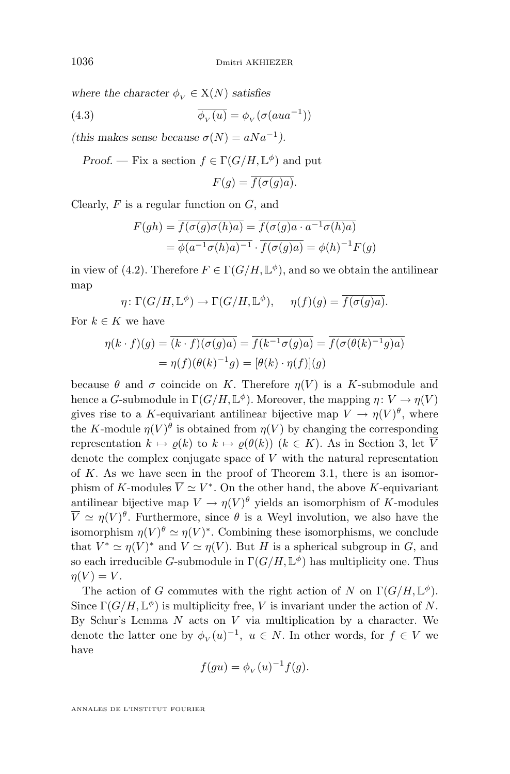<span id="page-8-0"></span>*where the character*  $\phi_V \in X(N)$  *satisfies* 

(4.3) 
$$
\overline{\phi_V(u)} = \phi_V(\sigma(aua^{-1}))
$$

(this makes sense because  $\sigma(N) = aNa^{-1}$ ).

*Proof.* — Fix a section  $f \in \Gamma(G/H, \mathbb{L}^{\phi})$  and put

$$
F(g) = \overline{f(\sigma(g)a)}.
$$

Clearly,  $F$  is a regular function on  $G$ , and

$$
F(gh) = \overline{f(\sigma(g)\sigma(h)a)} = \overline{f(\sigma(g)a \cdot a^{-1}\sigma(h)a)}
$$
  
=  $\overline{\phi(a^{-1}\sigma(h)a)^{-1}} \cdot \overline{f(\sigma(g)a)} = \phi(h)^{-1}F(g)$ 

in view of [\(4.2\)](#page-7-0). Therefore  $F \in \Gamma(G/H, \mathbb{L}^{\phi})$ , and so we obtain the antilinear map

$$
\eta \colon \Gamma(G/H, \mathbb{L}^{\phi}) \to \Gamma(G/H, \mathbb{L}^{\phi}), \quad \eta(f)(g) = \overline{f(\sigma(g)a)}.
$$

For  $k \in K$  we have

$$
\eta(k \cdot f)(g) = \overline{(k \cdot f)(\sigma(g)a)} = \overline{f(k^{-1}\sigma(g)a)} = \overline{f(\sigma(\theta(k)^{-1}g)a)}
$$

$$
= \eta(f)(\theta(k)^{-1}g) = [\theta(k) \cdot \eta(f)](g)
$$

because  $\theta$  and  $\sigma$  coincide on K. Therefore  $\eta(V)$  is a K-submodule and hence a *G*-submodule in  $\Gamma(G/H, \mathbb{L}^{\phi})$ . Moreover, the mapping  $\eta: V \to \eta(V)$ gives rise to a K-equivariant antilinear bijective map  $V \to \eta(V)^{\theta}$ , where the K-module  $\eta(V)^{\theta}$  is obtained from  $\eta(V)$  by changing the corresponding representation  $k \mapsto \varrho(k)$  to  $k \mapsto \varrho(\theta(k))$   $(k \in K)$ . As in Section [3,](#page-5-0) let  $\overline{V}$ denote the complex conjugate space of  $V$  with the natural representation of K. As we have seen in the proof of Theorem [3.1,](#page-5-0) there is an isomorphism of K-modules  $\overline{V} \simeq V^*$ . On the other hand, the above K-equivariant antilinear bijective map  $V \to \eta(V)^{\theta}$  yields an isomorphism of K-modules  $\overline{V} \simeq \eta(V)^{\theta}$ . Furthermore, since  $\theta$  is a Weyl involution, we also have the isomorphism  $\eta(V)^{\theta} \simeq \eta(V)^*$ . Combining these isomorphisms, we conclude that  $V^* \simeq \eta(V)^*$  and  $V \simeq \eta(V)$ . But H is a spherical subgroup in G, and so each irreducible G-submodule in  $\Gamma(G/H, \mathbb{L}^{\phi})$  has multiplicity one. Thus  $\eta(V) = V.$ 

The action of G commutes with the right action of N on  $\Gamma(G/H, \mathbb{L}^{\phi})$ . Since  $\Gamma(G/H, \mathbb{L}^{\phi})$  is multiplicity free, V is invariant under the action of N. By Schur's Lemma  $N$  acts on  $V$  via multiplication by a character. We denote the latter one by  $\phi_V(u)^{-1}$ ,  $u \in N$ . In other words, for  $f \in V$  we have

$$
f(gu) = \phi_V(u)^{-1} f(g).
$$

ANNALES DE L'INSTITUT FOURIER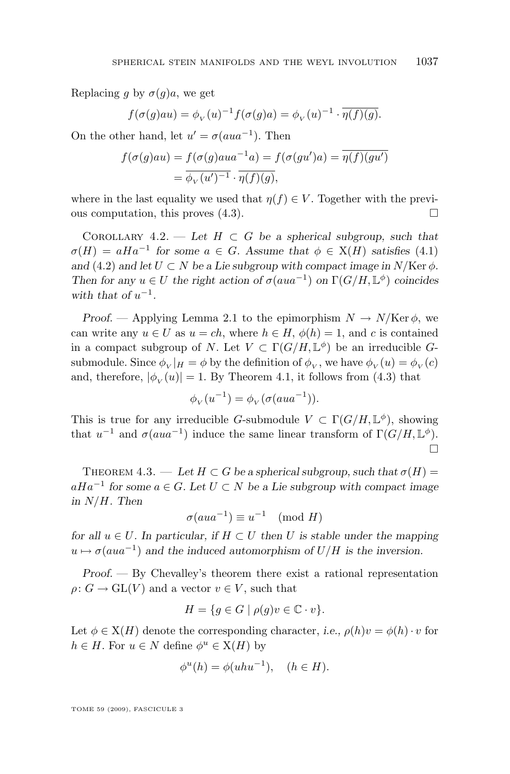<span id="page-9-0"></span>Replacing g by  $\sigma(g)a$ , we get

$$
f(\sigma(g)au) = \phi_V(u)^{-1} f(\sigma(g)a) = \phi_V(u)^{-1} \cdot \overline{\eta(f)(g)}.
$$

On the other hand, let  $u' = \sigma(aua^{-1})$ . Then

$$
f(\sigma(g)au) = f(\sigma(g)aua^{-1}a) = f(\sigma(gu')a) = \overline{\eta(f)(gu')}
$$

$$
= \overline{\phi_V(u')^{-1}} \cdot \overline{\eta(f)(g)},
$$

where in the last equality we used that  $\eta(f) \in V$ . Together with the previous computation, this proves  $(4.3)$ .

COROLLARY  $4.2.$  — Let  $H \subset G$  be a spherical subgroup, such that  $\sigma(H) = aHa^{-1}$  for some  $a \in G$ . Assume that  $\phi \in X(H)$  satisfies [\(4.1\)](#page-7-0) and [\(4.2\)](#page-7-0) and let  $U \subset N$  be a Lie subgroup with compact image in  $N/\text{Ker }\phi$ . *Then for any*  $u \in U$  *the right action of*  $\sigma(aua^{-1})$  *on*  $\Gamma(G/H, \mathbb{L}^{\phi})$  *coincides* with that of  $u^{-1}$ .

*Proof.* — Applying Lemma [2.1](#page-4-0) to the epimorphism  $N \to N/\text{Ker }\phi$ , we can write any  $u \in U$  as  $u = ch$ , where  $h \in H$ ,  $\phi(h) = 1$ , and c is contained in a compact subgroup of N. Let  $V \subset \Gamma(G/H, \mathbb{L}^{\phi})$  be an irreducible Gsubmodule. Since  $\phi_V|_H = \phi$  by the definition of  $\phi_V$ , we have  $\phi_V(u) = \phi_V(c)$ and, therefore,  $|\phi_{V}(u)| = 1$ . By Theorem [4.1,](#page-7-0) it follows from [\(4.3\)](#page-8-0) that

$$
\phi_V(u^{-1}) = \phi_V(\sigma(aua^{-1})).
$$

This is true for any irreducible G-submodule  $V \subset \Gamma(G/H, \mathbb{L}^{\phi})$ , showing that  $u^{-1}$  and  $\sigma(aua^{-1})$  induce the same linear transform of  $\Gamma(G/H, \mathbb{L}^{\phi})$ .  $\Box$ 

THEOREM 4.3. — Let  $H \subset G$  be a spherical subgroup, such that  $\sigma(H)$  = aHa<sup>−</sup><sup>1</sup> *for some* a ∈ G*. Let* U ⊂ N *be a Lie subgroup with compact image in* N/H*. Then*

$$
\sigma(aua^{-1}) \equiv u^{-1} \pmod{H}
$$

*for all*  $u \in U$ *. In particular, if*  $H \subset U$  *then* U *is stable under the mapping*  $u \mapsto \sigma(aua^{-1})$  and the induced automorphism of  $U/H$  is the inversion.

*Proof. —* By Chevalley's theorem there exist a rational representation  $\rho: G \to \mathrm{GL}(V)$  and a vector  $v \in V$ , such that

$$
H = \{ g \in G \mid \rho(g)v \in \mathbb{C} \cdot v \}.
$$

Let  $\phi \in X(H)$  denote the corresponding character, *i.e.*,  $\rho(h)v = \phi(h) \cdot v$  for  $h \in H$ . For  $u \in N$  define  $\phi^u \in X(H)$  by

$$
\phi^u(h) = \phi(uhu^{-1}), \quad (h \in H).
$$

TOME 59 (2009), FASCICULE 3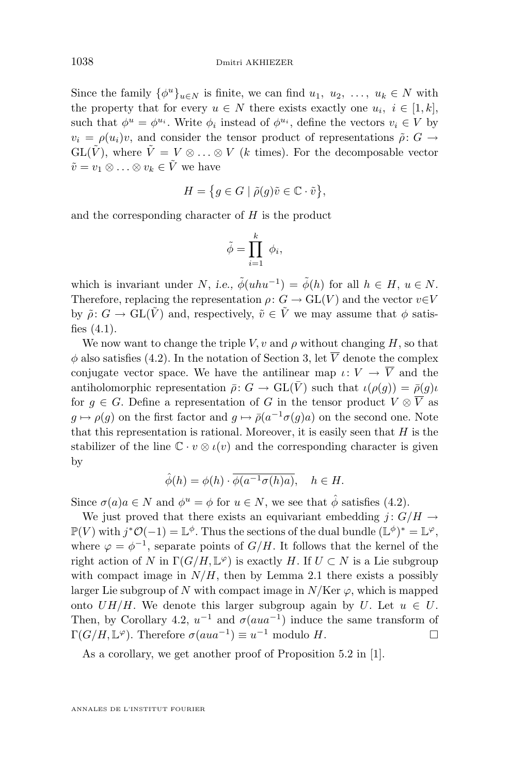<span id="page-10-0"></span>Since the family  $\{\phi^u\}_{u \in N}$  is finite, we can find  $u_1, u_2, \ldots, u_k \in N$  with the property that for every  $u \in N$  there exists exactly one  $u_i, i \in [1, k]$ , such that  $\phi^u = \phi^{u_i}$ . Write  $\phi_i$  instead of  $\phi^{u_i}$ , define the vectors  $v_i \in V$  by  $v_i = \rho(u_i)v$ , and consider the tensor product of representations  $\tilde{\rho}: G \to$  $GL(\tilde{V})$ , where  $\tilde{V} = V \otimes \ldots \otimes V$  (k times). For the decomposable vector  $\tilde{v} = v_1 \otimes \ldots \otimes v_k \in \tilde{V}$  we have

$$
H = \{ g \in G \mid \tilde{\rho}(g)\tilde{v} \in \mathbb{C} \cdot \tilde{v} \},
$$

and the corresponding character of  $H$  is the product

$$
\tilde{\phi} = \prod_{i=1}^k \phi_i,
$$

which is invariant under N, *i.e.*,  $\tilde{\phi}(uhu^{-1}) = \tilde{\phi}(h)$  for all  $h \in H$ ,  $u \in N$ . Therefore, replacing the representation  $\rho: G \to GL(V)$  and the vector  $v \in V$ by  $\tilde{\rho}: G \to \text{GL}(\tilde{V})$  and, respectively,  $\tilde{v} \in \tilde{V}$  we may assume that  $\phi$  satisfies  $(4.1)$ .

We now want to change the triple V, v and  $\rho$  without changing H, so that  $\phi$  also satisfies [\(4.2\)](#page-7-0). In the notation of Section [3,](#page-5-0) let  $\overline{V}$  denote the complex conjugate vector space. We have the antilinear map  $\iota: V \to \overline{V}$  and the antiholomorphic representation  $\bar{\rho}$ :  $G \to \text{GL}(\bar{V})$  such that  $\iota(\rho(g)) = \bar{\rho}(g)\iota$ for  $g \in G$ . Define a representation of G in the tensor product  $V \otimes \overline{V}$  as  $g \mapsto \rho(g)$  on the first factor and  $g \mapsto \bar{\rho}(a^{-1}\sigma(g)a)$  on the second one. Note that this representation is rational. Moreover, it is easily seen that  $H$  is the stabilizer of the line  $\mathbb{C} \cdot v \otimes \iota(v)$  and the corresponding character is given by

$$
\hat{\phi}(h) = \phi(h) \cdot \overline{\phi(a^{-1}\sigma(h)a)}, \quad h \in H.
$$

Since  $\sigma(a)a \in N$  and  $\phi^u = \phi$  for  $u \in N$ , we see that  $\hat{\phi}$  satisfies [\(4.2\)](#page-7-0).

We just proved that there exists an equivariant embedding  $j: G/H \to$  $\mathbb{P}(V)$  with  $j^*\mathcal{O}(-1) = \mathbb{L}^{\phi}$ . Thus the sections of the dual bundle  $(\mathbb{L}^{\phi})^* = \mathbb{L}^{\varphi}$ , where  $\varphi = \varphi^{-1}$ , separate points of  $G/H$ . It follows that the kernel of the right action of N in  $\Gamma(G/H, \mathbb{L}^{\varphi})$  is exactly H. If  $U \subset N$  is a Lie subgroup with compact image in  $N/H$ , then by Lemma [2.1](#page-4-0) there exists a possibly larger Lie subgroup of N with compact image in  $N/Ker \varphi$ , which is mapped onto  $UH/H$ . We denote this larger subgroup again by U. Let  $u \in U$ . Then, by Corollary [4.2,](#page-9-0)  $u^{-1}$  and  $\sigma(aua^{-1})$  induce the same transform of  $\Gamma(G/H, \mathbb{L}^{\varphi})$ . Therefore  $\sigma(aua^{-1}) \equiv u^{-1}$  modulo H.

As a corollary, we get another proof of Proposition 5.2 in [\[1\]](#page-13-0).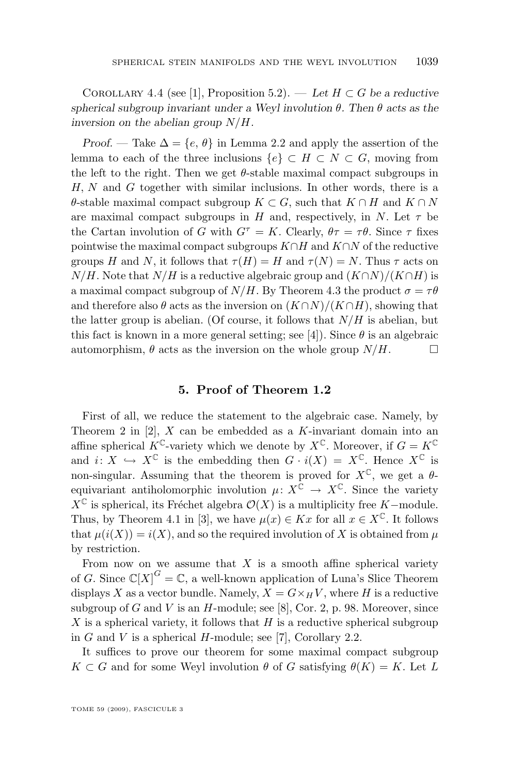<span id="page-11-0"></span>COROLLARY 4.4 (see [\[1\]](#page-13-0), Proposition 5.2). — Let  $H \subset G$  be a reductive *spherical subgroup invariant under a Weyl involution* θ*. Then* θ *acts as the inversion on the abelian group* N/H*.*

*Proof.* — Take  $\Delta = \{e, \theta\}$  in Lemma [2.2](#page-5-0) and apply the assertion of the lemma to each of the three inclusions  $\{e\} \subset H \subset N \subset G$ , moving from the left to the right. Then we get  $\theta$ -stable maximal compact subgroups in  $H, N$  and  $G$  together with similar inclusions. In other words, there is a  $\theta$ -stable maximal compact subgroup  $K \subset G$ , such that  $K \cap H$  and  $K \cap N$ are maximal compact subgroups in H and, respectively, in N. Let  $\tau$  be the Cartan involution of G with  $G^{\tau} = K$ . Clearly,  $\theta \tau = \tau \theta$ . Since  $\tau$  fixes pointwise the maximal compact subgroups  $K \cap H$  and  $K \cap N$  of the reductive groups H and N, it follows that  $\tau(H) = H$  and  $\tau(N) = N$ . Thus  $\tau$  acts on  $N/H$ . Note that  $N/H$  is a reductive algebraic group and  $(K\cap N)/(K\cap H)$  is a maximal compact subgroup of  $N/H$ . By Theorem [4.3](#page-9-0) the product  $\sigma = \tau \theta$ and therefore also  $\theta$  acts as the inversion on  $(K \cap N)/(K \cap H)$ , showing that the latter group is abelian. (Of course, it follows that  $N/H$  is abelian, but this fact is known in a more general setting; see [\[4\]](#page-13-0)). Since  $\theta$  is an algebraic automorphism,  $\theta$  acts as the inversion on the whole group  $N/H$ .

#### **5. Proof of Theorem [1.2](#page-2-0)**

First of all, we reduce the statement to the algebraic case. Namely, by Theorem 2 in  $[2]$ , X can be embedded as a K-invariant domain into an affine spherical  $K^{\mathbb{C}}$ -variety which we denote by  $X^{\mathbb{C}}$ . Moreover, if  $G = K^{\mathbb{C}}$ and  $i: X \hookrightarrow X^{\mathbb{C}}$  is the embedding then  $G \cdot i(X) = X^{\mathbb{C}}$ . Hence  $X^{\mathbb{C}}$  is non-singular. Assuming that the theorem is proved for  $X^{\mathbb{C}}$ , we get a  $\theta$ equivariant antiholomorphic involution  $\mu: X^{\mathbb{C}} \to X^{\mathbb{C}}$ . Since the variety  $X^{\mathbb{C}}$  is spherical, its Fréchet algebra  $\mathcal{O}(X)$  is a multiplicity free K−module. Thus, by Theorem [4.1](#page-7-0) in [\[3\]](#page-13-0), we have  $\mu(x) \in Kx$  for all  $x \in X^{\mathbb{C}}$ . It follows that  $\mu(i(X)) = i(X)$ , and so the required involution of X is obtained from  $\mu$ by restriction.

From now on we assume that  $X$  is a smooth affine spherical variety of G. Since  $\mathbb{C}[X]^G = \mathbb{C}$ , a well-known application of Luna's Slice Theorem displays X as a vector bundle. Namely,  $X = G \times_H V$ , where H is a reductive subgroup of G and V is an  $H$ -module; see [\[8\]](#page-13-0), Cor. 2, p. 98. Moreover, since X is a spherical variety, it follows that  $H$  is a reductive spherical subgroup in G and V is a spherical H-module; see [\[7\]](#page-13-0), Corollary 2.2.

It suffices to prove our theorem for some maximal compact subgroup  $K \subset G$  and for some Weyl involution  $\theta$  of G satisfying  $\theta(K) = K$ . Let L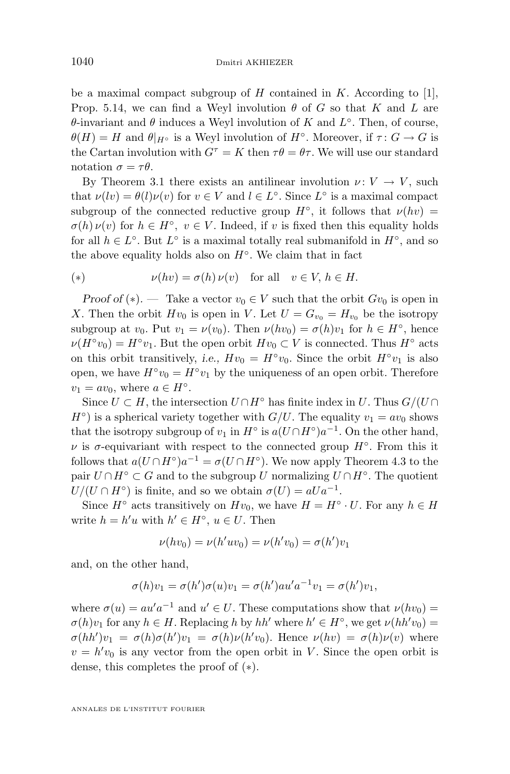be a maximal compact subgroup of H contained in K. According to [\[1\]](#page-13-0), Prop. 5.14, we can find a Weyl involution  $\theta$  of G so that K and L are  $\theta$ -invariant and  $\theta$  induces a Weyl involution of K and  $L^{\circ}$ . Then, of course,  $\theta(H) = H$  and  $\theta|_{H^{\circ}}$  is a Weyl involution of  $H^{\circ}$ . Moreover, if  $\tau: G \to G$  is the Cartan involution with  $G^{\tau} = K$  then  $\tau \theta = \theta \tau$ . We will use our standard notation  $\sigma = \tau \theta$ .

By Theorem [3.1](#page-5-0) there exists an antilinear involution  $\nu: V \to V$ , such that  $\nu(lv) = \theta(l)\nu(v)$  for  $v \in V$  and  $l \in L^{\circ}$ . Since  $L^{\circ}$  is a maximal compact subgroup of the connected reductive group  $H^{\circ}$ , it follows that  $\nu(hv) =$  $\sigma(h)\nu(v)$  for  $h \in H^{\circ}$ ,  $v \in V$ . Indeed, if v is fixed then this equality holds for all  $h \in L^{\circ}$ . But  $L^{\circ}$  is a maximal totally real submanifold in  $H^{\circ}$ , and so the above equality holds also on  $H^{\circ}$ . We claim that in fact

(\*) 
$$
\nu(hv) = \sigma(h)\,\nu(v) \quad \text{for all} \quad v \in V, h \in H.
$$

*Proof of* (\*). — Take a vector  $v_0 \in V$  such that the orbit  $Gv_0$  is open in X. Then the orbit  $Hv_0$  is open in V. Let  $U = G_{v_0} = H_{v_0}$  be the isotropy subgroup at  $v_0$ . Put  $v_1 = \nu(v_0)$ . Then  $\nu(hv_0) = \sigma(h)v_1$  for  $h \in H^{\circ}$ , hence  $\nu(H°v_0) = H°v_1$ . But the open orbit  $Hv_0 \subset V$  is connected. Thus  $H°$  acts on this orbit transitively, *i.e.*,  $Hv_0 = H<sup>o</sup>v_0$ . Since the orbit  $H<sup>o</sup>v_1$  is also open, we have  $H^{\circ}v_0 = H^{\circ}v_1$  by the uniqueness of an open orbit. Therefore  $v_1 = av_0$ , where  $a \in H^{\circ}$ .

Since  $U \subset H$ , the intersection  $U \cap H^{\circ}$  has finite index in U. Thus  $G/(U \cap$  $H^{\circ}$ ) is a spherical variety together with  $G/U$ . The equality  $v_1 = av_0$  shows that the isotropy subgroup of  $v_1$  in  $H^{\circ}$  is  $a(U \cap H^{\circ})a^{-1}$ . On the other hand,  $\nu$  is  $\sigma$ -equivariant with respect to the connected group  $H^{\circ}$ . From this it follows that  $a(U \cap H^{\circ})a^{-1} = \sigma(U \cap H^{\circ})$ . We now apply Theorem [4.3](#page-9-0) to the pair  $U \cap H^{\circ} \subset G$  and to the subgroup U normalizing  $U \cap H^{\circ}$ . The quotient  $U/(U \cap H^{\circ})$  is finite, and so we obtain  $\sigma(U) = aUa^{-1}$ .

Since  $H^{\circ}$  acts transitively on  $Hv_0$ , we have  $H = H^{\circ} \cdot U$ . For any  $h \in H$ write  $h = h'u$  with  $h' \in H^{\circ}$ ,  $u \in U$ . Then

$$
\nu(hv_0) = \nu(h'uv_0) = \nu(h'v_0) = \sigma(h')v_1
$$

and, on the other hand,

$$
\sigma(h)v_1 = \sigma(h')\sigma(u)v_1 = \sigma(h')au'a^{-1}v_1 = \sigma(h')v_1,
$$

where  $\sigma(u) = au'a^{-1}$  and  $u' \in U$ . These computations show that  $\nu(hv_0) =$  $\sigma(h)v_1$  for any  $h \in H$ . Replacing h by hh' where  $h' \in H^{\circ}$ , we get  $\nu(hh'v_0) =$  $\sigma(hh')v_1 = \sigma(h)\sigma(h')v_1 = \sigma(h)\nu(h'v_0)$ . Hence  $\nu(hv) = \sigma(h)\nu(v)$  where  $v = h'v_0$  is any vector from the open orbit in V. Since the open orbit is dense, this completes the proof of (∗).